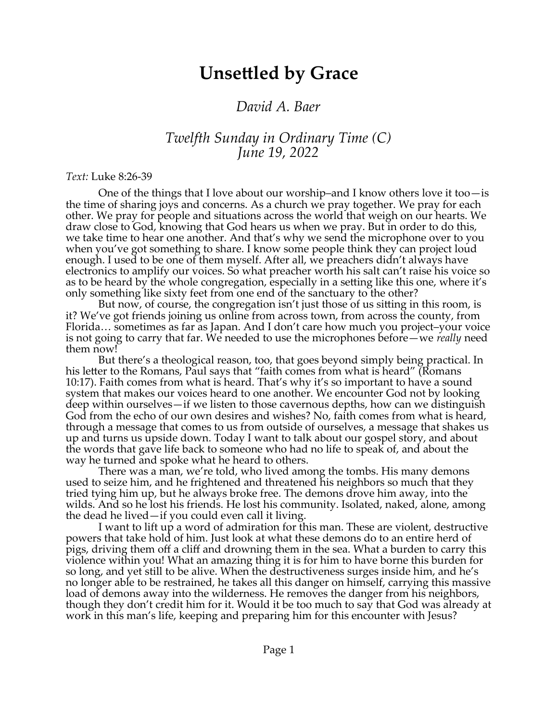## **Unsettled by Grace**

## *David A. Baer*

## *Twelfth Sunday in Ordinary Time (C) June 19, 2022*

## *Text:* Luke 8:26-39

One of the things that I love about our worship–and I know others love it too—is the time of sharing joys and concerns. As a church we pray together. We pray for each other. We pray for people and situations across the world that weigh on our hearts. We draw close to God, knowing that God hears us when we pray. But in order to do this, we take time to hear one another. And that's why we send the microphone over to you when you've got something to share. I know some people think they can project loud enough. I used to be one of them myself. After all, we preachers didn't always have electronics to amplify our voices. So what preacher worth his salt can't raise his voice so as to be heard by the whole congregation, especially in a setting like this one, where it's only something like sixty feet from one end of the sanctuary to the other?

But now, of course, the congregation isn't just those of us sitting in this room, is it? We've got friends joining us online from across town, from across the county, from Florida… sometimes as far as Japan. And I don't care how much you project–your voice is not going to carry that far. We needed to use the microphones before—we *really* need them now!

But there's a theological reason, too, that goes beyond simply being practical. In his letter to the Romans, Paul says that "faith comes from what is heard" (Romans 10:17). Faith comes from what is heard. That's why it's so important to have a sound system that makes our voices heard to one another. We encounter God not by looking deep within ourselves—if we listen to those cavernous depths, how can we distinguish God from the echo of our own desires and wishes? No, faith comes from what is heard, through a message that comes to us from outside of ourselves, a message that shakes us up and turns us upside down. Today I want to talk about our gospel story, and about the words that gave life back to someone who had no life to speak of, and about the way he turned and spoke what he heard to others.

There was a man, we're told, who lived among the tombs. His many demons used to seize him, and he frightened and threatened his neighbors so much that they tried tying him up, but he always broke free. The demons drove him away, into the wilds. And so he lost his friends. He lost his community. Isolated, naked, alone, among the dead he lived—if you could even call it living.

I want to lift up a word of admiration for this man. These are violent, destructive powers that take hold of him. Just look at what these demons do to an entire herd of pigs, driving them off a cliff and drowning them in the sea. What a burden to carry this violence within you! What an amazing thing it is for him to have borne this burden for so long, and yet still to be alive. When the destructiveness surges inside him, and he's no longer able to be restrained, he takes all this danger on himself, carrying this massive load of demons away into the wilderness. He removes the danger from his neighbors, though they don't credit him for it. Would it be too much to say that God was already at work in this man's life, keeping and preparing him for this encounter with Jesus?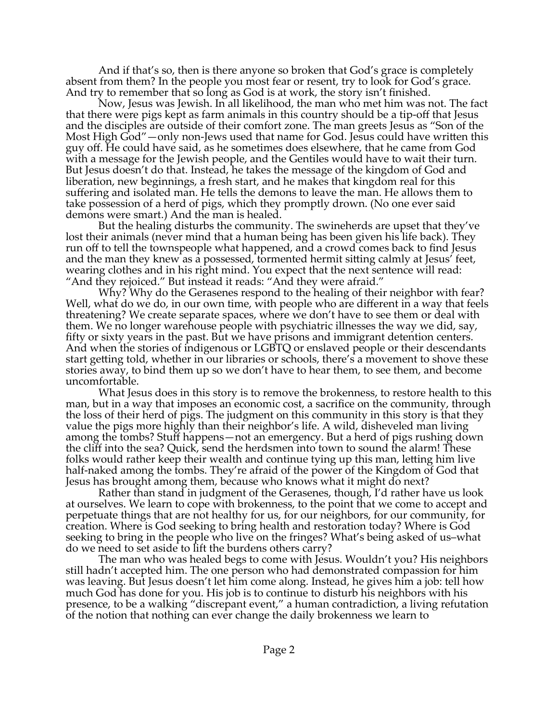And if that's so, then is there anyone so broken that God's grace is completely absent from them? In the people you most fear or resent, try to look for God's grace. And try to remember that so long as God is at work, the story isn't finished.

Now, Jesus was Jewish. In all likelihood, the man who met him was not. The fact that there were pigs kept as farm animals in this country should be a tip-off that Jesus and the disciples are outside of their comfort zone. The man greets Jesus as "Son of the Most High God"—only non-Jews used that name for God. Jesus could have written this guy off. He could have said, as he sometimes does elsewhere, that he came from God with a message for the Jewish people, and the Gentiles would have to wait their turn. But Jesus doesn't do that. Instead, he takes the message of the kingdom of God and liberation, new beginnings, a fresh start, and he makes that kingdom real for this suffering and isolated man. He tells the demons to leave the man. He allows them to take possession of a herd of pigs, which they promptly drown. (No one ever said demons were smart.) And the man is healed.

But the healing disturbs the community. The swineherds are upset that they've lost their animals (never mind that a human being has been given his life back). They run off to tell the townspeople what happened, and a crowd comes back to find Jesus and the man they knew as a possessed, tormented hermit sitting calmly at Jesus' feet, wearing clothes and in his right mind. You expect that the next sentence will read: "And they rejoiced." But instead it reads: "And they were afraid."

Why? Why do the Gerasenes respond to the healing of their neighbor with fear? Well, what do we do, in our own time, with people who are different in a way that feels threatening? We create separate spaces, where we don't have to see them or deal with them. We no longer warehouse people with psychiatric illnesses the way we did, say, fifty or sixty years in the past. But we have prisons and immigrant detention centers. And when the stories of indigenous or LGBTQ or enslaved people or their descendants start getting told, whether in our libraries or schools, there's a movement to shove these stories away, to bind them up so we don't have to hear them, to see them, and become uncomfortable.

What Jesus does in this story is to remove the brokenness, to restore health to this man, but in a way that imposes an economic cost, a sacrifice on the community, through the loss of their herd of pigs. The judgment on this community in this story is that they value the pigs more highly than their neighbor's life. A wild, disheveled man living among the tombs? Stuff happens—not an emergency. But a herd of pigs rushing down the cliff into the sea? Quick, send the herdsmen into town to sound the alarm! These folks would rather keep their wealth and continue tying up this man, letting him live half-naked among the tombs. They're afraid of the power of the Kingdom of God that Jesus has brought among them, because who knows what it might do next?

Rather than stand in judgment of the Gerasenes, though, I'd rather have us look at ourselves. We learn to cope with brokenness, to the point that we come to accept and perpetuate things that are not healthy for us, for our neighbors, for our community, for creation. Where is God seeking to bring health and restoration today? Where is God seeking to bring in the people who live on the fringes? What's being asked of us–what do we need to set aside to lift the burdens others carry?

The man who was healed begs to come with Jesus. Wouldn't you? His neighbors still hadn't accepted him. The one person who had demonstrated compassion for him was leaving. But Jesus doesn't let him come along. Instead, he gives him a job: tell how much God has done for you. His job is to continue to disturb his neighbors with his presence, to be a walking "discrepant event," a human contradiction, a living refutation of the notion that nothing can ever change the daily brokenness we learn to